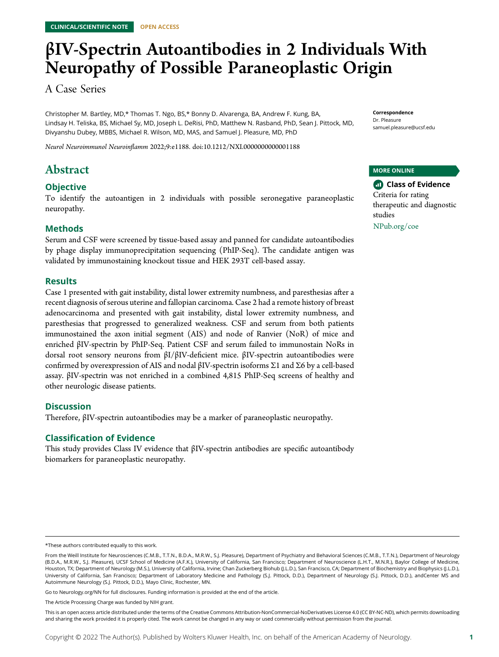# βIV-Spectrin Autoantibodies in 2 Individuals With Neuropathy of Possible Paraneoplastic Origin

A Case Series

Christopher M. Bartley, MD,\* Thomas T. Ngo, BS,\* Bonny D. Alvarenga, BA, Andrew F. Kung, BA, Lindsay H. Teliska, BS, Michael Sy, MD, Joseph L. DeRisi, PhD, Matthew N. Rasband, PhD, Sean J. Pittock, MD, Divyanshu Dubey, MBBS, Michael R. Wilson, MD, MAS, and Samuel J. Pleasure, MD, PhD

Neurol Neuroimmunol Neuroinflamm 2022;9:e1188. doi[:10.1212/NXI.0000000000001188](http://dx.doi.org/10.1212/NXI.0000000000001188)

## Abstract

#### **Objective**

To identify the autoantigen in 2 individuals with possible seronegative paraneoplastic neuropathy.

#### Methods

Serum and CSF were screened by tissue-based assay and panned for candidate autoantibodies by phage display immunoprecipitation sequencing (PhIP-Seq). The candidate antigen was validated by immunostaining knockout tissue and HEK 293T cell-based assay.

#### **Results**

Case 1 presented with gait instability, distal lower extremity numbness, and paresthesias after a recent diagnosis of serous uterine and fallopian carcinoma. Case 2 had a remote history of breast adenocarcinoma and presented with gait instability, distal lower extremity numbness, and paresthesias that progressed to generalized weakness. CSF and serum from both patients immunostained the axon initial segment (AIS) and node of Ranvier (NoR) of mice and enriched βIV-spectrin by PhIP-Seq. Patient CSF and serum failed to immunostain NoRs in dorsal root sensory neurons from βI/βIV-deficient mice. βIV-spectrin autoantibodies were confirmed by overexpression of AIS and nodal βIV-spectrin isoforms Σ1 and Σ6 by a cell-based assay. βIV-spectrin was not enriched in a combined 4,815 PhIP-Seq screens of healthy and other neurologic disease patients.

#### **Discussion**

Therefore, βIV-spectrin autoantibodies may be a marker of paraneoplastic neuropathy.

#### Classification of Evidence

This study provides Class IV evidence that βIV-spectrin antibodies are specific autoantibody biomarkers for paraneoplastic neuropathy.

MORE ONLINE

**Class of Evidence** Criteria for rating therapeutic and diagnostic studies [NPub.org/coe](http://NPub.org/coe)

Go to [Neurology.org/NN](https://nn.neurology.org/content/9/4/e1188/tab-article-info) for full disclosures. Funding information is provided at the end of the article.

Correspondence Dr. Pleasure [samuel.pleasure@ucsf.edu](mailto:samuel.pleasure@ucsf.edu)

<sup>\*</sup>These authors contributed equally to this work.

From the Weill Institute for Neurosciences (C.M.B., T.T.N., B.D.A., M.R.W., S.J. Pleasure), Department of Psychiatry and Behavioral Sciences (C.M.B., T.T.N.), Department of Neurology (B.D.A., M.R.W., S.J. Pleasure), UCSF School of Medicine (A.F.K.), University of California, San Francisco; Department of Neuroscience (L.H.T., M.N.R.), Baylor College of Medicine, Houston, TX; Department of Neurology (M.S.), University of California, Irvine; Chan Zuckerberg Biohub (J.L.D.), San Francisco, CA; Department of Biochemistry and Biophysics (J.L.D.), University of California, San Francisco; Department of Laboratory Medicine and Pathology (S.J. Pittock, D.D.), Department of Neurology (S.J. Pittock, D.D.), andCenter MS and Autoimmune Neurology (S.J. Pittock, D.D.), Mayo Clinic, Rochester, MN.

The Article Processing Charge was funded by NIH grant.

This is an open access article distributed under the terms of the [Creative Commons Attribution-NonCommercial-NoDerivatives License 4.0 \(CC BY-NC-ND\),](http://creativecommons.org/licenses/by-nc-nd/4.0/) which permits downloading and sharing the work provided it is properly cited. The work cannot be changed in any way or used commercially without permission from the journal.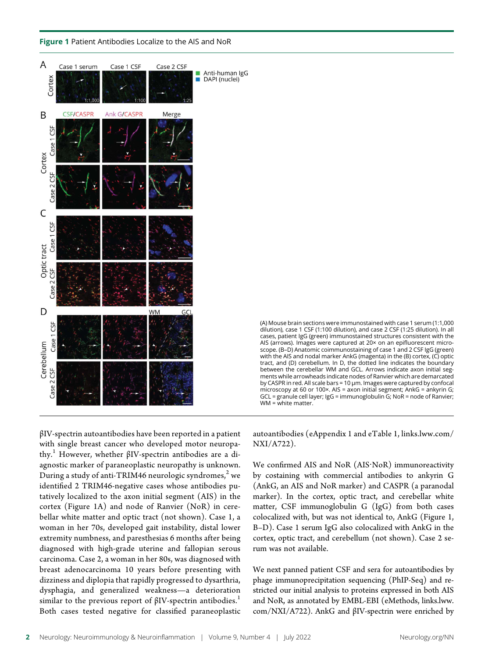Figure 1 Patient Antibodies Localize to the AIS and NoR





βIV-spectrin autoantibodies have been reported in a patient with single breast cancer who developed motor neuropathy.<sup>1</sup> However, whether βIV-spectrin antibodies are a diagnostic marker of paraneoplastic neuropathy is unknown. During a study of anti-TRIM46 neurologic syndromes, $^2$  we identified 2 TRIM46-negative cases whose antibodies putatively localized to the axon initial segment (AIS) in the cortex (Figure 1A) and node of Ranvier (NoR) in cerebellar white matter and optic tract (not shown). Case 1, a woman in her 70s, developed gait instability, distal lower extremity numbness, and paresthesias 6 months after being diagnosed with high-grade uterine and fallopian serous carcinoma. Case 2, a woman in her 80s, was diagnosed with breast adenocarcinoma 10 years before presenting with dizziness and diplopia that rapidly progressed to dysarthria, dysphagia, and generalized weakness—a deterioration similar to the previous report of  $\beta$ IV-spectrin antibodies.<sup>1</sup> Both cases tested negative for classified paraneoplastic

autoantibodies (eAppendix 1 and eTable 1, [links.lww.com/](http://links.lww.com/NXI/A722) [NXI/A722\)](http://links.lww.com/NXI/A722).

We confirmed AIS and NoR (AIS·NoR) immunoreactivity by costaining with commercial antibodies to ankyrin G (AnkG, an AIS and NoR marker) and CASPR (a paranodal marker). In the cortex, optic tract, and cerebellar white matter, CSF immunoglobulin G (IgG) from both cases colocalized with, but was not identical to, AnkG (Figure 1, B–D). Case 1 serum IgG also colocalized with AnkG in the cortex, optic tract, and cerebellum (not shown). Case 2 serum was not available.

We next panned patient CSF and sera for autoantibodies by phage immunoprecipitation sequencing (PhIP-Seq) and restricted our initial analysis to proteins expressed in both AIS and NoR, as annotated by EMBL-EBI (eMethods, [links.lww.](http://links.lww.com/NXI/A722) [com/NXI/A722\)](http://links.lww.com/NXI/A722). AnkG and βIV-spectrin were enriched by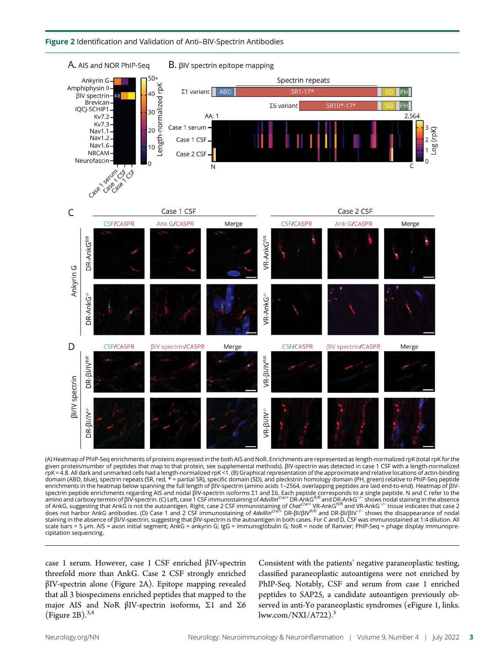



(A) Heatmap of PhIP-Seq enrichments of proteins expressed in the both AIS and NoR. Enrichments are represented as length-normalized rpK (total rpK for the given protein/number of peptides that map to that protein, see supplemental methods). βIV-spectrin was detected in case 1 CSF with a length-normalized rpK = 4.8. All dark and unmarked cells had a length-normalized rpK <1. (B) Graphical representation of the approximate and relative locations of actin-binding domain (ABD, blue), spectrin repeats (SR, red,  $* =$  partial SR), specific domain (SD), and pleckstrin homology domain (PH, green) relative to PhIP-Seq peptide enrichments in the heatmap below spanning the full length of βIV-spectrin (amino acids 1–2564, overlapping peptides are laid end-to-end). Heatmap of βIVspectrin peptide enrichments regarding AlS and nodal βlV-spectrin isoforms Σ1 and Σ6. Each peptide corresponds to a single peptide. N and C refer to the<br>amino and carboxy termini of βlV-spectrin. (C) Left, case 1 CSF immu of AnkG, suggesting that AnkG is not the autoantigen. Right, case 2 CSF immunostatining of Chat<sup>Crex+</sup> VR-AnkG<sup>h/A</sup> and VR-AnkG<sup>-/-</sup> tissue indicates that case 2<br>does not harbor AnkG antibodies. (D) Case 1 and 2 CSF immun staining in the absence of βI/V-spectrin, suggesting that βIV-spectrin is the autoantigen in both cases. For C and D, CSF was immunostained at 1:4 dilution. All scale bars = 5 μm. AIS = axon initial segment; AnkG = ankyrin G; IgG = immunoglobulin G; NoR = node of Ranvier; PhIP-Seq = phage display immunoprecipitation sequencing.

case 1 serum. However, case 1 CSF enriched βIV-spectrin threefold more than AnkG. Case 2 CSF strongly enriched βIV-spectrin alone (Figure 2A). Epitope mapping revealed that all 3 biospecimens enriched peptides that mapped to the major AIS and NoR βIV-spectrin isoforms, Σ1 and Σ6 (Figure 2B). $^{3,4}$ 

Consistent with the patients' negative paraneoplastic testing, classified paraneoplastic autoantigens were not enriched by PhIP-Seq. Notably, CSF and serum from case 1 enriched peptides to SAP25, a candidate autoantigen previously observed in anti-Yo paraneoplastic syndromes (eFigure 1, [links.](http://links.lww.com/NXI/A722)  $lww.com/NXI/_A722$ ).<sup>5</sup>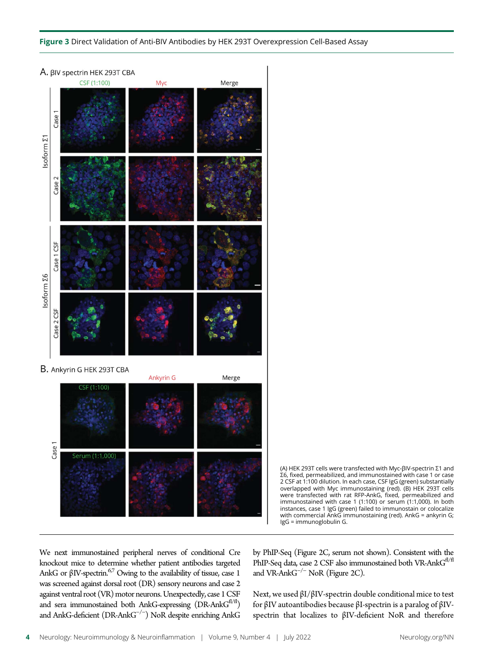#### Figure 3 Direct Validation of Anti-BIV Antibodies by HEK 293T Overexpression Cell-Based Assay



(A) HEK 293T cells were transfected with Myc-βIV-spectrin Σ1 and Σ6, fixed, permeabilized, and immunostained with case 1 or case 2 CSF at 1:100 dilution. In each case, CSF IgG (green) substantially overlapped with Myc immunostaining (red). (B) HEK 293T cells were transfected with rat RFP-AnkG, fixed, permeabilized and immunostained with case 1 (1:100) or serum (1:1,000). In both instances, case 1 IgG (green) failed to immunostain or colocalize with commercial AnkG immunostaining (red). AnkG = ankyrin G; IgG = immunoglobulin G.

We next immunostained peripheral nerves of conditional Cre knockout mice to determine whether patient antibodies targeted AnkG or  $\beta$ IV-spectrin.<sup>67</sup> Owing to the availability of tissue, case 1 was screened against dorsal root (DR) sensory neurons and case 2 against ventral root (VR) motor neurons.Unexpectedly, case 1 CSF and sera immunostained both AnkG-expressing (DR-AnkG<sup>fl/fl</sup>) and AnkG-deficient (DR-AnkG−/<sup>−</sup> ) NoR despite enriching AnkG

by PhIP-Seq (Figure 2C, serum not shown). Consistent with the PhIP-Seq data, case 2 CSF also immunostained both VR-Ank $G^{f/fI}$ and VR-AnkG−/<sup>−</sup> NoR (Figure 2C).

Next, we used βI/βIV-spectrin double conditional mice to test for βIV autoantibodies because βI-spectrin is a paralog of βIVspectrin that localizes to βIV-deficient NoR and therefore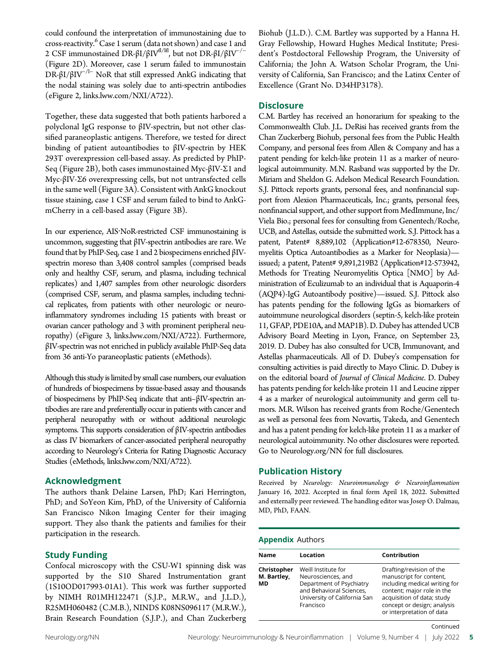could confound the interpretation of immunostaining due to cross-reactivity.<sup>6</sup> Case 1 serum (data not shown) and case 1 and 2 CSF immunostained DR-βI/βIV<sup>fl/lfl</sup>, but not DR-βI/βIV<sup>-/-</sup> (Figure 2D). Moreover, case 1 serum failed to immunostain DR- $\beta I/\beta IV^{-/1-}$  NoR that still expressed AnkG indicating that the nodal staining was solely due to anti-spectrin antibodies (eFigure 2, [links.lww.com/NXI/A722\)](http://links.lww.com/NXI/A722).

Together, these data suggested that both patients harbored a polyclonal IgG response to βIV-spectrin, but not other classified paraneoplastic antigens. Therefore, we tested for direct binding of patient autoantibodies to βIV-spectrin by HEK 293T overexpression cell-based assay. As predicted by PhIP-Seq (Figure 2B), both cases immunostained Myc-βIV-Σ1 and Myc-βIV-Σ6 overexpressing cells, but not untransfected cells in the same well (Figure 3A). Consistent with AnkG knockout tissue staining, case 1 CSF and serum failed to bind to AnkGmCherry in a cell-based assay (Figure 3B).

In our experience, AIS·NoR-restricted CSF immunostaining is uncommon, suggesting that βIV-spectrin antibodies are rare. We found that by PhIP-Seq, case 1 and 2 biospecimens enriched βIVspectrin moreso than 3,408 control samples (comprised beads only and healthy CSF, serum, and plasma, including technical replicates) and 1,407 samples from other neurologic disorders (comprised CSF, serum, and plasma samples, including technical replicates, from patients with other neurologic or neuroinflammatory syndromes including 15 patients with breast or ovarian cancer pathology and 3 with prominent peripheral neuropathy) (eFigure 3, [links.lww.com/NXI/A722\)](http://links.lww.com/NXI/A722). Furthermore, βIV-spectrin was not enriched in publicly available PhIP-Seq data from 36 anti-Yo paraneoplastic patients (eMethods).

Although this study is limited by small case numbers, our evaluation of hundreds of biospecimens by tissue-based assay and thousands of biospecimens by PhIP-Seq indicate that anti–βIV-spectrin antibodies are rare and preferentially occur in patients with cancer and peripheral neuropathy with or without additional neurologic symptoms. This supports consideration of βIV-spectrin antibodies as class IV biomarkers of cancer-associated peripheral neuropathy according to Neurology's Criteria for Rating Diagnostic Accuracy Studies (eMethods, [links.lww.com/NXI/A722](http://links.lww.com/NXI/A722)).

#### Acknowledgment

The authors thank Delaine Larsen, PhD; Kari Herrington, PhD; and SoYeon Kim, PhD, of the University of California San Francisco Nikon Imaging Center for their imaging support. They also thank the patients and families for their participation in the research.

#### Study Funding

Confocal microscopy with the CSU-W1 spinning disk was supported by the S10 Shared Instrumentation grant (1S10OD017993-01A1). This work was further supported by NIMH R01MH122471 (S.J.P., M.R.W., and J.L.D.), R25MH060482 (C.M.B.), NINDS K08NS096117 (M.R.W.), Brain Research Foundation (S.J.P.), and Chan Zuckerberg Biohub (J.L.D.). C.M. Bartley was supported by a Hanna H. Gray Fellowship, Howard Hughes Medical Institute; President's Postdoctoral Fellowship Program, the University of California; the John A. Watson Scholar Program, the University of California, San Francisco; and the Latinx Center of Excellence (Grant No. D34HP3178).

#### **Disclosure**

C.M. Bartley has received an honorarium for speaking to the Commonwealth Club. J.L. DeRisi has received grants from the Chan Zuckerberg Biohub, personal fees from the Public Health Company, and personal fees from Allen & Company and has a patent pending for kelch-like protein 11 as a marker of neurological autoimmunity. M.N. Rasband was supported by the Dr. Miriam and Sheldon G. Adelson Medical Research Foundation. S.J. Pittock reports grants, personal fees, and nonfinancial support from Alexion Pharmaceuticals, Inc.; grants, personal fees, nonfinancial support, and other support from MedImmune, Inc/ Viela Bio.; personal fees for consulting from Genentech/Roche, UCB, and Astellas, outside the submitted work. S.J. Pittock has a patent, Patent# 8,889,102 (Application#12-678350, Neuromyelitis Optica Autoantibodies as a Marker for Neoplasia) issued; a patent, Patent# 9,891,219B2 (Application#12-573942, Methods for Treating Neuromyelitis Optica [NMO] by Administration of Eculizumab to an individual that is Aquaporin-4 (AQP4)-IgG Autoantibody positive)—issued. S.J. Pittock also has patents pending for the following IgGs as biomarkers of autoimmune neurological disorders (septin-5, kelch-like protein 11, GFAP, PDE10A, and MAP1B). D. Dubey has attended UCB Advisory Board Meeting in Lyon, France, on September 23, 2019. D. Dubey has also consulted for UCB, Immunovant, and Astellas pharmaceuticals. All of D. Dubey's compensation for consulting activities is paid directly to Mayo Clinic. D. Dubey is on the editorial board of Journal of Clinical Medicine. D. Dubey has patents pending for kelch-like protein 11 and Leucine zipper 4 as a marker of neurological autoimmunity and germ cell tumors. M.R. Wilson has received grants from Roche/Genentech as well as personal fees from Novartis, Takeda, and Genentech and has a patent pending for kelch-like protein 11 as a marker of neurological autoimmunity. No other disclosures were reported. Go to [Neurology.org/NN](https://nn.neurology.org/content/9/4/e1188/tab-article-info) for full disclosures.

#### Publication History

Received by Neurology: Neuroimmunology & Neuroinflammation January 16, 2022. Accepted in final form April 18, 2022. Submitted and externally peer reviewed. The handling editor was Josep O. Dalmau, MD, PhD, FAAN.

#### Appendix Authors

| <b>Name</b>                      | Location                                                                                                                                       | Contribution                                                                                                                                                                                                 |
|----------------------------------|------------------------------------------------------------------------------------------------------------------------------------------------|--------------------------------------------------------------------------------------------------------------------------------------------------------------------------------------------------------------|
| Christopher<br>M. Bartley,<br>МD | Weill Institute for<br>Neurosciences, and<br>Department of Psychiatry<br>and Behavioral Sciences,<br>University of California San<br>Francisco | Drafting/revision of the<br>manuscript for content,<br>including medical writing for<br>content; major role in the<br>acquisition of data; study<br>concept or design; analysis<br>or interpretation of data |

Continued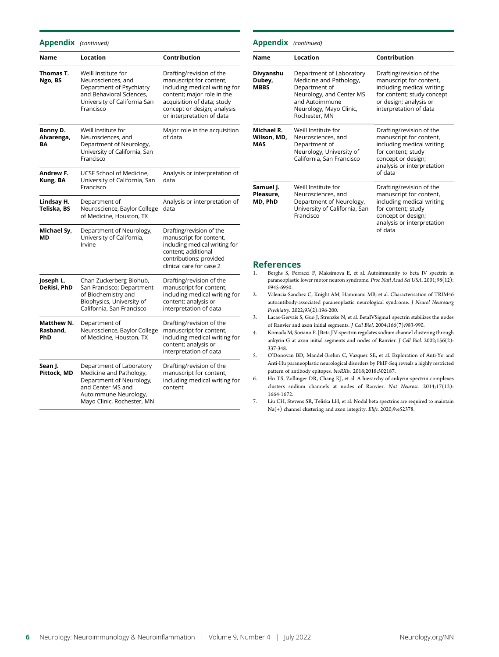#### Appendix (continued)

| Name                          | Location                                                                                                                                                    | Contribution                                                                                                                                                                                                 |
|-------------------------------|-------------------------------------------------------------------------------------------------------------------------------------------------------------|--------------------------------------------------------------------------------------------------------------------------------------------------------------------------------------------------------------|
| Thomas T.<br>Ngo, BS          | Weill Institute for<br>Neurosciences, and<br>Department of Psychiatry<br>and Behavioral Sciences,<br>University of California San<br>Francisco              | Drafting/revision of the<br>manuscript for content,<br>including medical writing for<br>content; major role in the<br>acquisition of data; study<br>concept or design; analysis<br>or interpretation of data |
| Bonny D.<br>Alvarenga,<br>ΒA  | Weill Institute for<br>Neurosciences, and<br>Department of Neurology,<br>University of California, San<br>Francisco                                         | Major role in the acquisition<br>of data                                                                                                                                                                     |
| Andrew F.<br>Kung, BA         | UCSF School of Medicine,<br>University of California, San<br>Francisco                                                                                      | Analysis or interpretation of<br>data                                                                                                                                                                        |
| Lindsay H.<br>Teliska, BS     | Department of<br>Neuroscience, Baylor College<br>of Medicine, Houston, TX                                                                                   | Analysis or interpretation of<br>data                                                                                                                                                                        |
| Michael Sy,<br><b>MD</b>      | Department of Neurology,<br>University of California,<br>Irvine                                                                                             | Drafting/revision of the<br>manuscript for content,<br>including medical writing for<br>content; additional<br>contributions: provided<br>clinical care for case 2                                           |
| Joseph L.<br>DeRisi, PhD      | Chan Zuckerberg Biohub,<br>San Francisco; Department<br>of Biochemistry and<br>Biophysics, University of<br>California, San Francisco                       | Drafting/revision of the<br>manuscript for content,<br>including medical writing for<br>content; analysis or<br>interpretation of data                                                                       |
| Matthew N.<br>Rasband,<br>PhD | Department of<br>Neuroscience, Baylor College<br>of Medicine, Houston, TX                                                                                   | Drafting/revision of the<br>manuscript for content,<br>including medical writing for<br>content; analysis or<br>interpretation of data                                                                       |
| Sean J.<br>Pittock, MD        | Department of Laboratory<br>Medicine and Pathology,<br>Department of Neurology,<br>and Center MS and<br>Autoimmune Neurology,<br>Mayo Clinic, Rochester, MN | Drafting/revision of the<br>manuscript for content,<br>including medical writing for<br>content                                                                                                              |

| <b>Appendix</b> (continued)             |                                                                                                                                                                |                                                                                                                                                                       |  |
|-----------------------------------------|----------------------------------------------------------------------------------------------------------------------------------------------------------------|-----------------------------------------------------------------------------------------------------------------------------------------------------------------------|--|
| <b>Name</b>                             | Location                                                                                                                                                       | Contribution                                                                                                                                                          |  |
| Divyanshu<br>Dubey,<br><b>MBBS</b>      | Department of Laboratory<br>Medicine and Pathology,<br>Department of<br>Neurology, and Center MS<br>and Autoimmune<br>Neurology, Mayo Clinic,<br>Rochester, MN | Drafting/revision of the<br>manuscript for content,<br>including medical writing<br>for content; study concept<br>or design; analysis or<br>interpretation of data    |  |
| Michael R.<br>Wilson, MD,<br><b>MAS</b> | Weill Institute for<br>Neurosciences, and<br>Department of<br>Neurology, University of<br>California, San Francisco                                            | Drafting/revision of the<br>manuscript for content,<br>including medical writing<br>for content; study<br>concept or design;<br>analysis or interpretation<br>of data |  |
| Samuel J.<br>Pleasure.<br>MD, PhD       | Weill Institute for<br>Neurosciences, and<br>Department of Neurology,<br>University of California, San<br>Francisco                                            | Drafting/revision of the<br>manuscript for content,<br>including medical writing<br>for content; study<br>concept or design;<br>analysis or interpretation<br>of data |  |

## **References**<br>1. Berghs S, Ferr.

- 1. Berghs S, Ferracci F, Maksimova E, et al. Autoimmunity to beta IV spectrin in paraneoplastic lower motor neuron syndrome. Proc Natl Acad Sci USA. 2001;98(12): 6945-6950.
- 2. Valencia-Sanchez C, Knight AM, Hammami MB, et al. Characterisation of TRIM46 autoantibody-associated paraneoplastic neurological syndrome. J Neurol Neurosurg Psychiatry. 2022;93(2):196-200.
- 3. Lacas-Gervais S, Guo J, Strenzke N, et al. BetaIVSigma1 spectrin stabilizes the nodes of Ranvier and axon initial segments. J Cell Biol. 2004;166(7):983-990.
- 4. Komada M, Soriano P. [Beta]IV-spectrin regulates sodium channel clustering through ankyrin-G at axon initial segments and nodes of Ranvier. J Cell Biol. 2002;156(2): 337-348.
- 5. O'Donovan BD, Mandel-Brehm C, Vazquez SE, et al. Exploration of Anti-Yo and Anti-Hu paraneoplastic neurological disorders by PhIP-Seq reveals a highly restricted pattern of antibody epitopes. bioRXiv. 2018;2018:502187.
- 6. Ho TS, Zollinger DR, Chang KJ, et al. A hierarchy of ankyrin-spectrin complexes clusters sodium channels at nodes of Ranvier. Nat Neurosc. 2014;17(12): 1664-1672.
- 7. Liu CH, Stevens SR, Teliska LH, et al. Nodal beta spectrins are required to maintain Na(+) channel clustering and axon integrity. Elife. 2020;9:e52378.